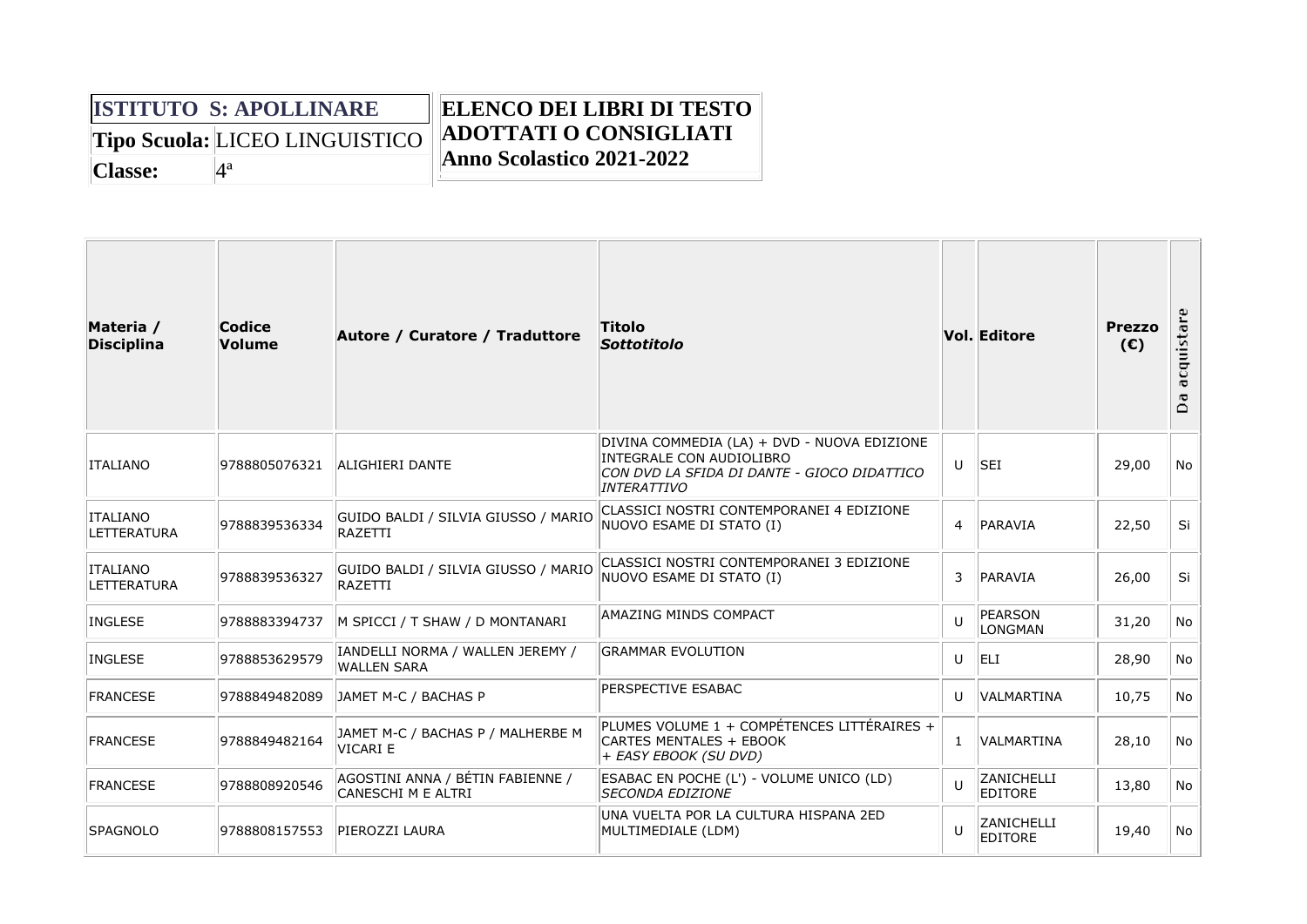|                                       | <b>ISTITUTO S: APOLLINARE</b> | <b>ELENCO DEI LIBRI DI TESTO</b> |
|---------------------------------------|-------------------------------|----------------------------------|
| <b>Tipo Scuola: LICEO LINGUISTICO</b> |                               | <b>ADOTTATI O CONSIGLIATI</b>    |
| Classe:                               |                               | Anno Scolastico 2021-2022        |

| Materia /<br><b>Disciplina</b>        | Codice<br><b>Volume</b> | Autore / Curatore / Traduttore                         | Titolo<br><b>Sottotitolo</b>                                                                                                                 |                | <b>Vol. Editore</b>          | <b>Prezzo</b><br>(E) | acquistare<br>Ō<br>$\Box$ |
|---------------------------------------|-------------------------|--------------------------------------------------------|----------------------------------------------------------------------------------------------------------------------------------------------|----------------|------------------------------|----------------------|---------------------------|
| <b>ITALIANO</b>                       | 9788805076321           | ALIGHIERI DANTE                                        | DIVINA COMMEDIA (LA) + DVD - NUOVA EDIZIONE<br>INTEGRALE CON AUDIOLIBRO<br>CON DVD LA SFIDA DI DANTE - GIOCO DIDATTICO<br><b>INTERATTIVO</b> | U              | <b>SEI</b>                   | 29,00                | No.                       |
| <b>ITALIANO</b><br><b>LETTERATURA</b> | 9788839536334           | GUIDO BALDI / SILVIA GIUSSO / MARIO<br><b>RAZETTI</b>  | CLASSICI NOSTRI CONTEMPORANEI 4 EDIZIONE<br>NUOVO ESAME DI STATO (I)                                                                         | $\overline{4}$ | PARAVIA                      | 22,50                | Si                        |
| <b>ITALIANO</b><br><b>LETTERATURA</b> | 9788839536327           | GUIDO BALDI / SILVIA GIUSSO / MARIO<br>RAZETTI         | CLASSICI NOSTRI CONTEMPORANEI 3 EDIZIONE<br>NUOVO ESAME DI STATO (I)                                                                         | 3              | PARAVIA                      | 26,00                | Si                        |
| <b>INGLESE</b>                        | 9788883394737           | M SPICCI / T SHAW / D MONTANARI                        | <b>AMAZING MINDS COMPACT</b>                                                                                                                 | U              | PEARSON<br><b>LONGMAN</b>    | 31,20                | No                        |
| <b>INGLESE</b>                        | 9788853629579           | IANDELLI NORMA / WALLEN JEREMY /<br><b>WALLEN SARA</b> | <b>GRAMMAR EVOLUTION</b>                                                                                                                     | U              | <b>ELI</b>                   | 28,90                | No                        |
| <b>FRANCESE</b>                       | 9788849482089           | JAMET M-C / BACHAS P                                   | PERSPECTIVE ESABAC                                                                                                                           | U              | <b>VALMARTINA</b>            | 10,75                | No.                       |
| <b>FRANCESE</b>                       | 9788849482164           | JAMET M-C / BACHAS P / MALHERBE M<br><b>VICARI E</b>   | PLUMES VOLUME 1 + COMPÉTENCES LITTÉRAIRES +<br><b>CARTES MENTALES + EBOOK</b><br>+ EASY EBOOK (SU DVD)                                       | $\mathbf{1}$   | <b>VALMARTINA</b>            | 28,10                | No.                       |
| <b>FRANCESE</b>                       | 9788808920546           | AGOSTINI ANNA / BÉTIN FABIENNE /<br>CANESCHI M E ALTRI | ESABAC EN POCHE (L') - VOLUME UNICO (LD)<br><b>SECONDA EDIZIONE</b>                                                                          | $\mathbf{U}$   | ZANICHELLI<br><b>EDITORE</b> | 13,80                | No                        |
| SPAGNOLO                              | 9788808157553           | PIEROZZI LAURA                                         | UNA VUELTA POR LA CULTURA HISPANA 2ED<br>MULTIMEDIALE (LDM)                                                                                  | $\mathbf{U}$   | ZANICHELLI<br><b>EDITORE</b> | 19,40                | No.                       |